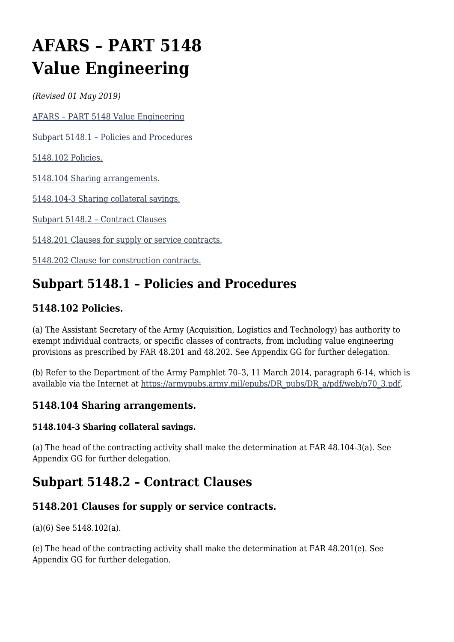# **AFARS – PART 5148 Value Engineering**

*(Revised 01 May 2019)*

[AFARS – PART 5148 Value Engineering](#page--1-0)

[Subpart 5148.1 – Policies and Procedures](#page--1-0)

[5148.102 Policies.](#page--1-0)

[5148.104 Sharing arrangements.](#page--1-0)

[5148.104-3 Sharing collateral savings.](#page--1-0)

[Subpart 5148.2 – Contract Clauses](#page--1-0)

[5148.201 Clauses for supply or service contracts.](#page--1-0)

[5148.202 Clause for construction contracts.](#page--1-0)

# **Subpart 5148.1 – Policies and Procedures**

## **5148.102 Policies.**

(a) The Assistant Secretary of the Army (Acquisition, Logistics and Technology) has authority to exempt individual contracts, or specific classes of contracts, from including value engineering provisions as prescribed by FAR 48.201 and 48.202. See Appendix GG for further delegation.

(b) Refer to the Department of the Army Pamphlet 70–3, 11 March 2014, paragraph 6-14, which is available via the Internet at [https://armypubs.army.mil/epubs/DR\\_pubs/DR\\_a/pdf/web/p70\\_3.pdf](https://armypubs.army.mil/epubs/DR_pubs/DR_a/pdf/web/p70_3.pdf).

### **5148.104 Sharing arrangements.**

#### **5148.104-3 Sharing collateral savings.**

(a) The head of the contracting activity shall make the determination at FAR 48.104-3(a). See Appendix GG for further delegation.

# **Subpart 5148.2 – Contract Clauses**

## **5148.201 Clauses for supply or service contracts.**

(a)(6) See 5148.102(a).

(e) The head of the contracting activity shall make the determination at FAR 48.201(e). See Appendix GG for further delegation.